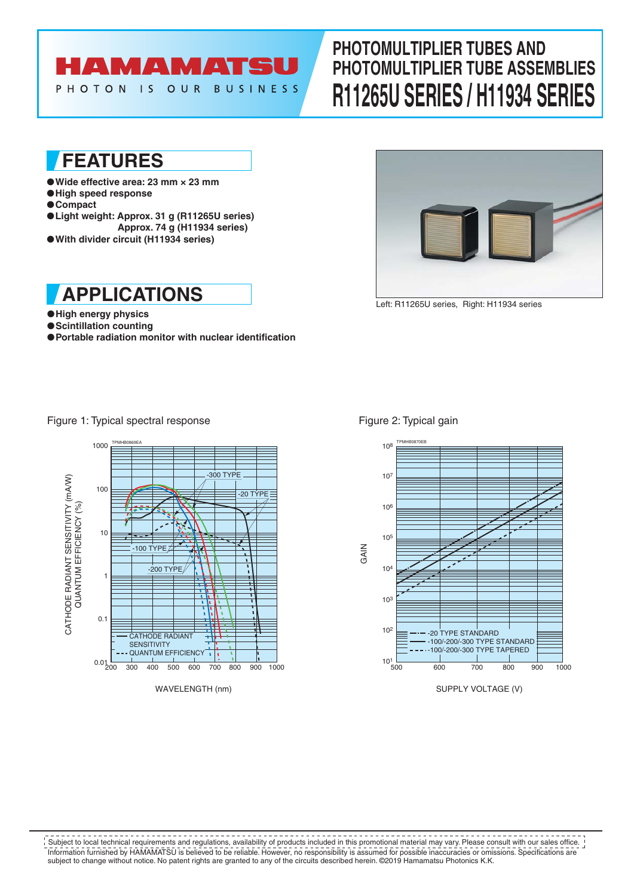# **AMAMATS**

PHOTON IS OUR **BUSINESS** 

## **PHOTOMULTIPLIER TUBES AND PHOTOMULTIPLIER TUBE ASSEMBLIES R11265U SERIES / H11934 SERIES**

## **FEATURES**

- ●**Wide effective area: 23 mm × 23 mm**
- ●**High speed response**
- ●**Compact**
- ●**Light weight: Approx. 31 g (R11265U series) Approx. 74 g (H11934 series)**
- ●**With divider circuit (H11934 series)**



●**High energy physics**

●**Scintillation counting**

●**Portable radiation monitor with nuclear identification**



Left: R11265U series, Right: H11934 series

Figure 1: Typical spectral response



Figure 2: Typical gain



SUPPLY VOLTAGE (V)

Information furnished by HAMAMATSU is believed to be reliable. However, no responsibility is assumed for possible inaccuracies or omissions. Specifications are subject to change without notice. No patent rights are granted to any of the circuits described herein. ©2019 Hamamatsu Photonics K.K. Subject to local technical requirements and regulations, availability of products included in this promotional material may vary. Please consult with our sales office.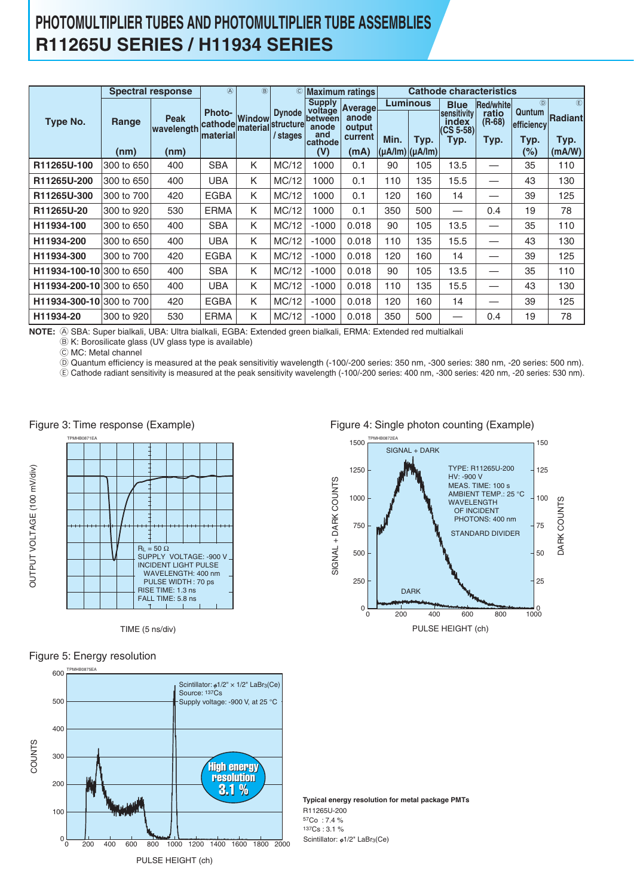### **PHOTOMULTIPLIER TUBES AND PHOTOMULTIPLIER TUBE ASSEMBLIES R11265U SERIES / H11934 SERIES**

|                          | <b>Spectral response</b> |                                   | $\circledA$                                   | (B)    | $^{\circ}$                             | <b>Maximum ratings</b>                                     |                                                       |                                       |                         | <b>Cathode characteristics</b>                                          |                                      |                                            |                                          |
|--------------------------|--------------------------|-----------------------------------|-----------------------------------------------|--------|----------------------------------------|------------------------------------------------------------|-------------------------------------------------------|---------------------------------------|-------------------------|-------------------------------------------------------------------------|--------------------------------------|--------------------------------------------|------------------------------------------|
| Type No.                 | Range<br>(nm)            | <b>Peak</b><br>wavelength<br>(nm) | <b>Photo-</b><br>cathode material<br>material | Window | <b>Dynode</b><br>structure<br>/ stages | <b>Supply</b><br>between<br>anode<br>and<br>cathode<br>(V) | voltage Average<br>anode<br>output<br>current<br>(mA) | Min.<br>$(\mu A / Im)$ $(\mu A / Im)$ | <b>Luminous</b><br>Typ. | <b>Blue</b><br>sensitivity<br>index <sup>-</sup><br>$(CS 5-58)$<br>Typ. | Red/white<br>ratio<br>(R-68)<br>Typ. | (D)<br>Quntum<br>efficiency<br>Typ.<br>(%) | $\circled$<br>Radiantl<br>Typ.<br>(mA/W) |
| R11265U-100              | 300 to 650               | 400                               | <b>SBA</b>                                    | K      | MC/12                                  | 1000                                                       | 0.1                                                   | 90                                    | 105                     | 13.5                                                                    | —                                    | 35                                         | 110                                      |
| R11265U-200              | 300 to 650               | 400                               | UBA                                           | K      | MC/12                                  | 1000                                                       | 0.1                                                   | 110                                   | 135                     | 15.5                                                                    | $\overbrace{\phantom{12332}}$        | 43                                         | 130                                      |
| R11265U-300              | 300 to 700               | 420                               | <b>EGBA</b>                                   | Κ      | MC/12                                  | 1000                                                       | 0.1                                                   | 120                                   | 160                     | 14                                                                      |                                      | 39                                         | 125                                      |
| R11265U-20               | 300 to 920               | 530                               | <b>ERMA</b>                                   | K      | MC/12                                  | 1000                                                       | 0.1                                                   | 350                                   | 500                     | —                                                                       | 0.4                                  | 19                                         | 78                                       |
| H11934-100               | 300 to 650               | 400                               | <b>SBA</b>                                    | K      | MC/12                                  | $-1000$                                                    | 0.018                                                 | 90                                    | 105                     | 13.5                                                                    | —                                    | 35                                         | 110                                      |
| H11934-200               | 300 to 650               | 400                               | <b>UBA</b>                                    | Κ      | MC/12                                  | $-1000$                                                    | 0.018                                                 | 110                                   | 135                     | 15.5                                                                    |                                      | 43                                         | 130                                      |
| H11934-300               | 300 to 700               | 420                               | <b>EGBA</b>                                   | K      | MC/12                                  | $-1000$                                                    | 0.018                                                 | 120                                   | 160                     | 14                                                                      |                                      | 39                                         | 125                                      |
| H11934-100-10 300 to 650 |                          | 400                               | <b>SBA</b>                                    | K      | MC/12                                  | $-1000$                                                    | 0.018                                                 | 90                                    | 105                     | 13.5                                                                    | —                                    | 35                                         | 110                                      |
| H11934-200-10 300 to 650 |                          | 400                               | UBA                                           | K      | MC/12                                  | $-1000$                                                    | 0.018                                                 | 110                                   | 135                     | 15.5                                                                    | $\overbrace{\phantom{12332}}$        | 43                                         | 130                                      |
| H11934-300-10 300 to 700 |                          | 420                               | <b>EGBA</b>                                   | K      | MC/12                                  | $-1000$                                                    | 0.018                                                 | 120                                   | 160                     | 14                                                                      |                                      | 39                                         | 125                                      |
| H11934-20                | 300 to 920               | 530                               | <b>ERMA</b>                                   | Κ      | MC/12                                  | $-1000$                                                    | 0.018                                                 | 350                                   | 500                     | –                                                                       | 0.4                                  | 19                                         | 78                                       |

NOTE:  $\circledA$  SBA: Super bialkali, UBA: Ultra bialkali, EGBA: Extended green bialkali, ERMA: Extended red multialkali

 $\circledB$  K: Borosilicate glass (UV glass type is available)

C MC: Metal channel

D Quantum efficiency is measured at the peak sensitivitiy wavelength (-100/-200 series: 350 nm, -300 series: 380 nm, -20 series: 500 nm).

E Cathode radiant sensitivity is measured at the peak sensitivity wavelength (-100/-200 series: 400 nm, -300 series: 420 nm, -20 series: 530 nm).

Figure 3: Time response (Example)



TIME (5 ns/div)



OUTPUT VOLTAGE (100 mV/div)



Figure 4: Single photon counting (Example)



**Typical energy resolution for metal package PMTs** Scintillator:  $\phi$ 1/2" LaBr<sub>3</sub>(Ce) R11265U-200 57Co : 7.4 % 137Cs : 3.1 %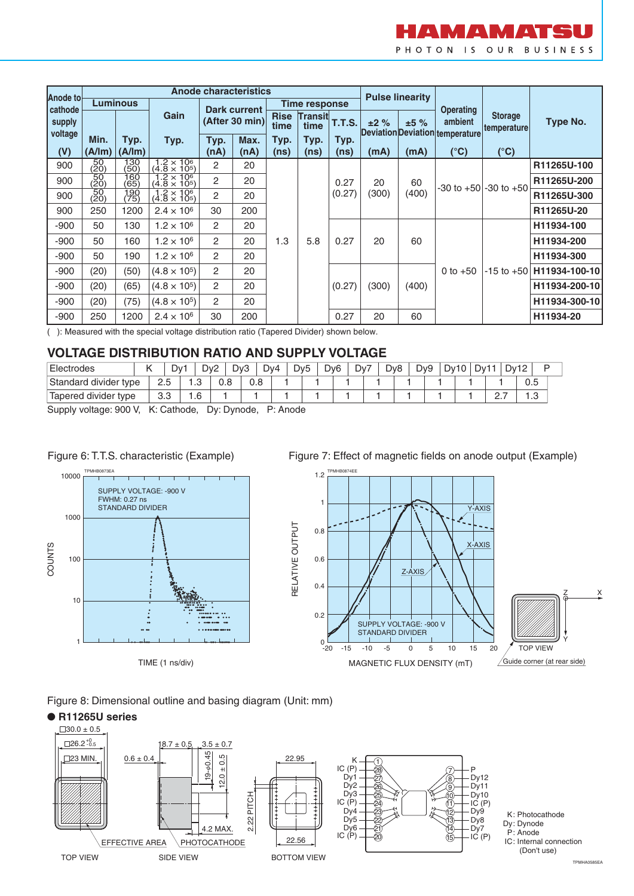

|                     |                   |             |                                             |      | <b>Anode characteristics</b> |                     |                      | <b>Pulse linearity</b> |       |             |                                                   |                               |               |  |
|---------------------|-------------------|-------------|---------------------------------------------|------|------------------------------|---------------------|----------------------|------------------------|-------|-------------|---------------------------------------------------|-------------------------------|---------------|--|
| Anode to<br>cathode | Luminous          |             |                                             |      | Dark current                 |                     | <b>Time response</b> |                        |       |             | <b>Operating</b>                                  |                               |               |  |
| supply              |                   |             | Gain                                        |      | (After 30 min)               | <b>Rise</b><br>time |                      | Transit T.T.S.         | ±2%   | ±5%         | ambient<br><b>Deviation Deviation temperature</b> | <b>Storage</b><br>temperature | Type No.      |  |
| voltage             | Min.              | Typ.        | Typ.                                        | Typ. | Max.                         | Typ.                | Typ.                 | Typ.                   |       |             |                                                   |                               |               |  |
| (V)                 | (A/lm)            | (A/Im)      |                                             | (nA) | (nA)                         | (ns)                | (ns)                 | (ns)                   | (mA)  | (mA)        | $(^{\circ}C)$                                     | $(^{\circ}C)$                 |               |  |
| 900                 | $\frac{50}{(20)}$ | 130<br>(50) | $\frac{1.2 \times 10^6}{(4.8 \times 10^5)}$ | 2    | 20                           |                     |                      |                        |       |             |                                                   |                               | R11265U-100   |  |
| 900                 | $\frac{50}{(20)}$ | 160<br>(65) | $\frac{1.2 \times 10^6}{(4.8 \times 10^5)}$ | 2    | 20                           | 20                  |                      | 0.27                   | 20    | 60<br>(400) | $-30$ to $+50$ $-30$ to $+50$                     |                               | R11265U-200   |  |
| 900                 | $\frac{50}{(20)}$ | 190<br>(75) | $\frac{1.2 \times 10^6}{(4.8 \times 10^5)}$ | 2    |                              |                     |                      | (0.27)                 | (300) |             |                                                   |                               | R11265U-300   |  |
| 900                 | 250               | 1200        | $2.4 \times 10^{6}$                         | 30   | 200                          |                     |                      |                        |       |             |                                                   |                               | R11265U-20    |  |
| $-900$              | 50                | 130         | $1.2 \times 10^{6}$                         | 2    | 20                           |                     |                      |                        |       |             |                                                   |                               | H11934-100    |  |
| $-900$              | 50                | 160         | $1.2 \times 10^{6}$                         | 2    | 20                           | 1.3                 | 5.8                  | 0.27                   | 20    | 60          |                                                   |                               | H11934-200    |  |
| $-900$              | 50                | 190         | $1.2 \times 10^{6}$                         | 2    | 20                           |                     |                      |                        |       |             |                                                   |                               | H11934-300    |  |
| $-900$              | (20)              | (50)        | $(4.8 \times 10^5)$                         | 2    | 20                           |                     |                      |                        |       |             | 0 to $+50$                                        | $-15$ to $+50$                | H11934-100-10 |  |
| $-900$              | (20)              | (65)        | $(4.8 \times 10^5)$                         | 2    | 20                           |                     |                      | (0.27)                 | (300) | (400)       |                                                   |                               | H11934-200-10 |  |
| $-900$              | (20)              | (75)        | $(4.8 \times 10^5)$                         | 2    | 20                           |                     |                      |                        |       |             |                                                   |                               | H11934-300-10 |  |
| $-900$              | 250               | 1200        | $2.4 \times 10^{6}$                         | 30   | 200                          |                     |                      | 0.27                   | 20    | 60          |                                                   |                               | H11934-20     |  |

( ): Measured with the special voltage distribution ratio (Tapered Divider) shown below.

#### **VOLTAGE DISTRIBUTION RATIO AND SUPPLY VOLTAGE**

| Electrodes            |  | - ۱۷۰<br>ັ |        | Dv <sub>2</sub> | Dv3 | Dv4 | Dv <sub>5</sub> | D <sub>v</sub> 6 | Dv7 | D <sub>v</sub> 8 | Dv9 | υv | 10/ | Dv1 |          | Dv12<br>$\epsilon$ |     |
|-----------------------|--|------------|--------|-----------------|-----|-----|-----------------|------------------|-----|------------------|-----|----|-----|-----|----------|--------------------|-----|
| Standard divider type |  | ت .ے       | റ<br>۰ | 0.8             |     | 0.8 |                 |                  |     |                  |     |    |     |     |          |                    | ບ.ບ |
| Tapered divider type  |  | ა.ა        | .6     |                 |     |     |                 |                  |     |                  |     |    |     |     | <u>.</u> |                    | . ت |

Supply voltage: 900 V, K: Cathode, Dy: Dynode, P: Anode



#### TIME (1 ns/div)

Figure 7: Effect of magnetic fields on anode output (Example)



#### Figure 8: Dimensional outline and basing diagram (Unit: mm)